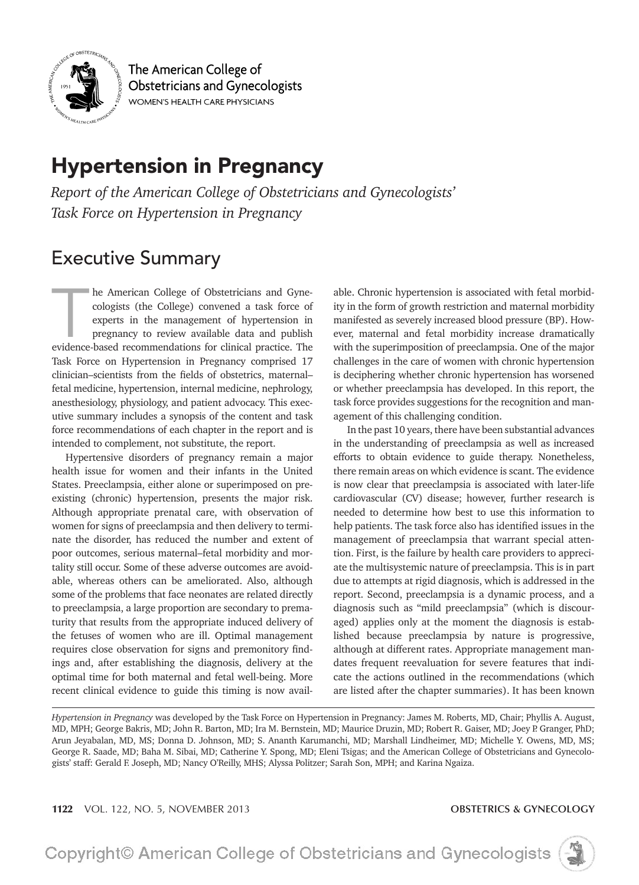

The American College of **Obstetricians and Gynecologists** WOMEN'S HEALTH CARE PHYSICIANS

# **Hypertension in Pregnancy**

Report of the American College of Obstetricians and Gynecologists' Task Force on Hypertension in Pregnancy

# **Executive Summary**

he American College of Obstetricians and Gynecologists (the College) convened a task force of experts in the management of hypertension in pregnancy to review available data and publish evidence-based recommendations for clinical practice. The Task Force on Hypertension in Pregnancy comprised 17 clinician-scientists from the fields of obstetrics, maternalfetal medicine, hypertension, internal medicine, nephrology, anesthesiology, physiology, and patient advocacy. This executive summary includes a synopsis of the content and task force recommendations of each chapter in the report and is intended to complement, not substitute, the report.

Hypertensive disorders of pregnancy remain a major health issue for women and their infants in the United States. Preeclampsia, either alone or superimposed on preexisting (chronic) hypertension, presents the major risk. Although appropriate prenatal care, with observation of women for signs of preeclampsia and then delivery to terminate the disorder, has reduced the number and extent of poor outcomes, serious maternal-fetal morbidity and mortality still occur. Some of these adverse outcomes are avoidable, whereas others can be ameliorated. Also, although some of the problems that face neonates are related directly to preeclampsia, a large proportion are secondary to prematurity that results from the appropriate induced delivery of the fetuses of women who are ill. Optimal management requires close observation for signs and premonitory findings and, after establishing the diagnosis, delivery at the optimal time for both maternal and fetal well-being. More recent clinical evidence to guide this timing is now avail-

able. Chronic hypertension is associated with fetal morbidity in the form of growth restriction and maternal morbidity manifested as severely increased blood pressure (BP). However, maternal and fetal morbidity increase dramatically with the superimposition of preeclampsia. One of the major challenges in the care of women with chronic hypertension is deciphering whether chronic hypertension has worsened or whether preeclampsia has developed. In this report, the task force provides suggestions for the recognition and management of this challenging condition.

In the past 10 years, there have been substantial advances in the understanding of preeclampsia as well as increased efforts to obtain evidence to guide therapy. Nonetheless, there remain areas on which evidence is scant. The evidence is now clear that preeclampsia is associated with later-life cardiovascular (CV) disease; however, further research is needed to determine how best to use this information to help patients. The task force also has identified issues in the management of preeclampsia that warrant special attention. First, is the failure by health care providers to appreciate the multisystemic nature of preeclampsia. This is in part due to attempts at rigid diagnosis, which is addressed in the report. Second, preeclampsia is a dynamic process, and a diagnosis such as "mild preeclampsia" (which is discouraged) applies only at the moment the diagnosis is established because preeclampsia by nature is progressive, although at different rates. Appropriate management mandates frequent reevaluation for severe features that indicate the actions outlined in the recommendations (which are listed after the chapter summaries). It has been known

### **OBSTETRICS & GYNECOLOGY**



Hypertension in Pregnancy was developed by the Task Force on Hypertension in Pregnancy: James M. Roberts, MD, Chair; Phyllis A. August, MD, MPH; George Bakris, MD; John R. Barton, MD; Ira M. Bernstein, MD; Maurice Druzin, MD; Robert R. Gaiser, MD; Joey P. Granger, PhD; Arun Jeyabalan, MD, MS; Donna D. Johnson, MD; S. Ananth Karumanchi, MD; Marshall Lindheimer, MD; Michelle Y. Owens, MD, MS; George R. Saade, MD; Baha M. Sibai, MD; Catherine Y. Spong, MD; Eleni Tsigas; and the American College of Obstetricians and Gynecologists' staff: Gerald F. Joseph, MD; Nancy O'Reilly, MHS; Alyssa Politzer; Sarah Son, MPH; and Karina Ngaiza.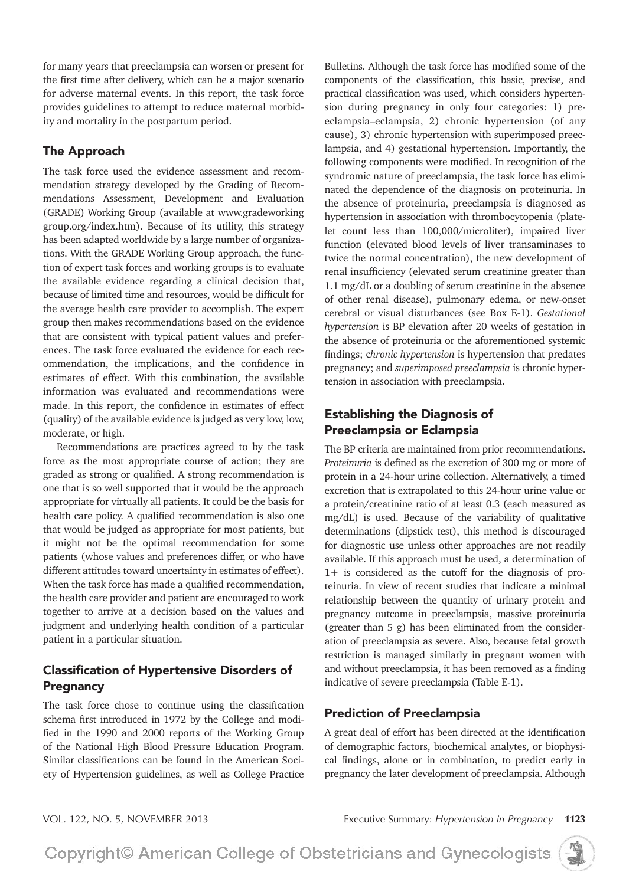for many years that preeclampsia can worsen or present for the first time after delivery, which can be a major scenario for adverse maternal events. In this report, the task force provides guidelines to attempt to reduce maternal morbidity and mortality in the postpartum period.

# The Approach

The task force used the evidence assessment and recommendation strategy developed by the Grading of Recommendations Assessment, Development and Evaluation (GRADE) Working Group (available at www.gradeworking group.org/index.htm). Because of its utility, this strategy has been adapted worldwide by a large number of organizations. With the GRADE Working Group approach, the function of expert task forces and working groups is to evaluate the available evidence regarding a clinical decision that, because of limited time and resources, would be difficult for the average health care provider to accomplish. The expert group then makes recommendations based on the evidence that are consistent with typical patient values and preferences. The task force evaluated the evidence for each recommendation, the implications, and the confidence in estimates of effect. With this combination, the available information was evaluated and recommendations were made. In this report, the confidence in estimates of effect (quality) of the available evidence is judged as very low, low, moderate, or high.

Recommendations are practices agreed to by the task force as the most appropriate course of action; they are graded as strong or qualified. A strong recommendation is one that is so well supported that it would be the approach appropriate for virtually all patients. It could be the basis for health care policy. A qualified recommendation is also one that would be judged as appropriate for most patients, but it might not be the optimal recommendation for some patients (whose values and preferences differ, or who have different attitudes toward uncertainty in estimates of effect). When the task force has made a qualified recommendation, the health care provider and patient are encouraged to work together to arrive at a decision based on the values and judgment and underlying health condition of a particular patient in a particular situation.

# Classification of Hypertensive Disorders of Pregnancy

The task force chose to continue using the classification schema first introduced in 1972 by the College and modified in the 1990 and 2000 reports of the Working Group of the National High Blood Pressure Education Program. Similar classifications can be found in the American Society of Hypertension guidelines, as well as College Practice

Bulletins. Although the task force has modified some of the components of the classification, this basic, precise, and practical classification was used, which considers hypertension during pregnancy in only four categories: 1) preeclampsia-eclampsia, 2) chronic hypertension (of any cause), 3) chronic hypertension with superimposed preeclampsia, and 4) gestational hypertension. Importantly, the following components were modified. In recognition of the syndromic nature of preeclampsia, the task force has eliminated the dependence of the diagnosis on proteinuria. In the absence of proteinuria, preeclampsia is diagnosed as hypertension in association with thrombocytopenia (platelet count less than 100,000/microliter), impaired liver function (elevated blood levels of liver transaminases to twice the normal concentration), the new development of renal insufficiency (elevated serum creatinine greater than  $1.1 \text{ mg/d}$ L or a doubling of serum creatinine in the absence of other renal disease), pulmonary edema, or new-onset cerebral or visual disturbances (see Box E-1). Gestational *hypertension* is BP elevation after 20 weeks of gestation in the absence of proteinuria or the aforementioned systemic findings; *chronic hypertension* is hypertension that predates pregnancy; and *superimposed preeclampsia* is chronic hypertension in association with preeclampsia.

# Establishing the Diagnosis of Preeclampsia or Eclampsia

The BP criteria are maintained from prior recommendations. *Proteinuria* is defined as the excretion of 300 mg or more of protein in a 24-hour urine collection. Alternatively, a timed excretion that is extrapolated to this 24-hour urine value or a protein/creatinine ratio of at least 0.3 (each measured as  $mg/dL$ ) is used. Because of the variability of qualitative determinations (dipstick test), this method is discouraged for diagnostic use unless other approaches are not readily available. If this approach must be used, a determination of  $1+$  is considered as the cutoff for the diagnosis of proteinuria. In view of recent studies that indicate a minimal relationship between the quantity of urinary protein and pregnancy outcome in preeclampsia, massive proteinuria (greater than 5 g) has been eliminated from the consideration of preeclampsia as severe. Also, because fetal growth restriction is managed similarly in pregnant women with and without preeclampsia, it has been removed as a finding indicative of severe preeclampsia (Table E-1).

# Prediction of Preeclampsia

A great deal of effort has been directed at the identification of demographic factors, biochemical analytes, or biophysical findings, alone or in combination, to predict early in pregnancy the later development of preeclampsia. Although

VOL. 122, NO. 5, NOVEMBER 2013 Executive Summary: *Hypertension in Pregnancy* **<sup>1123</sup>**

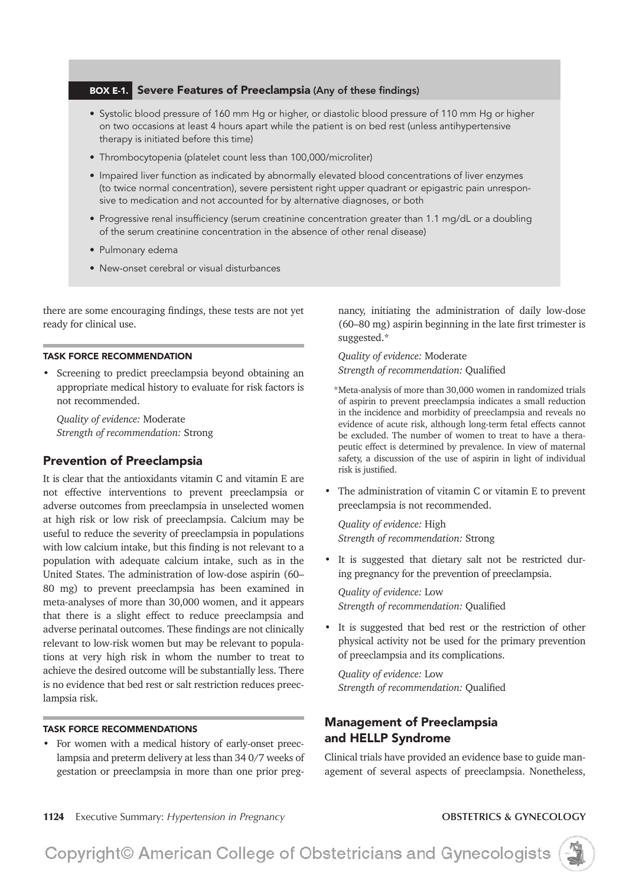### **BOX E-1.** Severe Features of Preeclampsia (Any of these findings)

- Systolic blood pressure of 160 mm Hg or higher, or diastolic blood pressure of 110 mm Hg or higher on two occasions at least 4 hours apart while the patient is on bed rest (unless antihypertensive therapy is initiated before this time)
- Thrombocytopenia (platelet count less than 100,000/microliter)
- . Impaired liver function as indicated by abnormally elevated blood concentrations of liver enzymes (to twice normal concentration), severe persistent right upper quadrant or epigastric pain unresponsive to medication and not accounted for by alternative diagnoses, or both
- Progressive renal insufficiency (serum creatinine concentration greater than 1.1 mg/dL or a doubling of the serum creatinine concentration in the absence of other renal disease)
- · Pulmonary edema
- New-onset cerebral or visual disturbances

there are some encouraging findings, these tests are not yet ready for clinical use.

### **TASK FORCE RECOMMENDATION**

Screening to predict preeclampsia beyond obtaining an appropriate medical history to evaluate for risk factors is not recommended.

Quality of evidence: Moderate Strength of recommendation: Strong

## **Prevention of Preeclampsia**

It is clear that the antioxidants vitamin C and vitamin E are not effective interventions to prevent preeclampsia or adverse outcomes from preeclampsia in unselected women at high risk or low risk of preeclampsia. Calcium may be useful to reduce the severity of preeclampsia in populations with low calcium intake, but this finding is not relevant to a population with adequate calcium intake, such as in the United States. The administration of low-dose aspirin (60-80 mg) to prevent preeclampsia has been examined in meta-analyses of more than 30,000 women, and it appears that there is a slight effect to reduce preeclampsia and adverse perinatal outcomes. These findings are not clinically relevant to low-risk women but may be relevant to populations at very high risk in whom the number to treat to achieve the desired outcome will be substantially less. There is no evidence that bed rest or salt restriction reduces preeclampsia risk.

### **TASK FORCE RECOMMENDATIONS**

For women with a medical history of early-onset preeclampsia and preterm delivery at less than 34 0/7 weeks of gestation or preeclampsia in more than one prior pregnancy, initiating the administration of daily low-dose (60–80 mg) aspirin beginning in the late first trimester is suggested.\*

Quality of evidence: Moderate Strength of recommendation: Qualified

- \*Meta-analysis of more than 30,000 women in randomized trials of aspirin to prevent preeclampsia indicates a small reduction in the incidence and morbidity of preeclampsia and reveals no evidence of acute risk, although long-term fetal effects cannot be excluded. The number of women to treat to have a therapeutic effect is determined by prevalence. In view of maternal safety, a discussion of the use of aspirin in light of individual risk is justified.
- $\bullet$ The administration of vitamin C or vitamin E to prevent preeclampsia is not recommended.

Quality of evidence: High Strength of recommendation: Strong

It is suggested that dietary salt not be restricted during pregnancy for the prevention of preeclampsia.

Quality of evidence: Low Strength of recommendation: Qualified

It is suggested that bed rest or the restriction of other physical activity not be used for the primary prevention of preeclampsia and its complications.

Quality of evidence: Low Strength of recommendation: Qualified

# **Management of Preeclampsia** and HELLP Syndrome

Clinical trials have provided an evidence base to guide management of several aspects of preeclampsia. Nonetheless,

1124 Executive Summary: Hypertension in Pregnancy

### **OBSTETRICS & GYNECOLOGY**

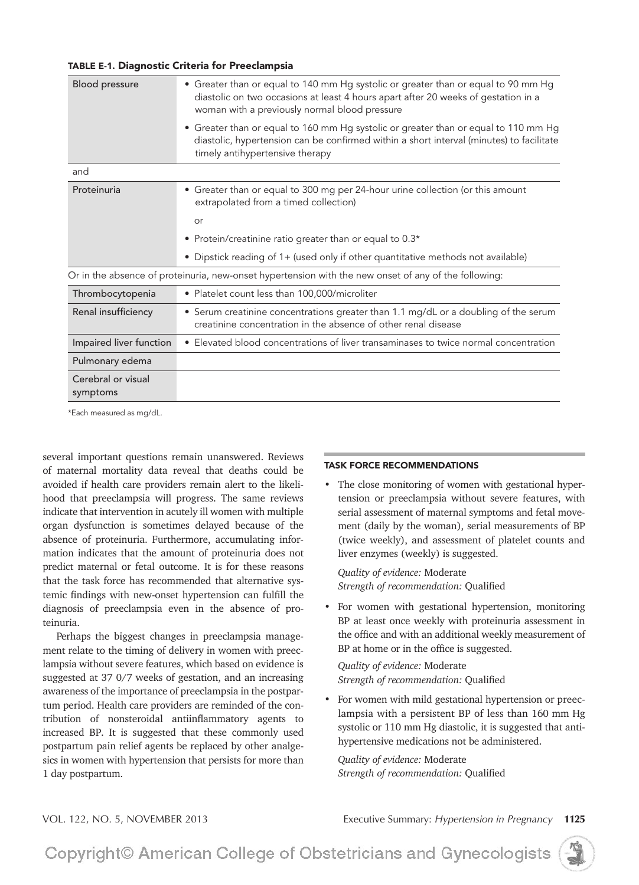### TABLE E-1. Diagnostic Criteria for Preeclampsia

| Blood pressure                                                                                       | • Greater than or equal to 140 mm Hg systolic or greater than or equal to 90 mm Hg<br>diastolic on two occasions at least 4 hours apart after 20 weeks of gestation in a<br>woman with a previously normal blood pressure |
|------------------------------------------------------------------------------------------------------|---------------------------------------------------------------------------------------------------------------------------------------------------------------------------------------------------------------------------|
|                                                                                                      | • Greater than or equal to 160 mm Hg systolic or greater than or equal to 110 mm Hg<br>diastolic, hypertension can be confirmed within a short interval (minutes) to facilitate<br>timely antihypertensive therapy        |
| and                                                                                                  |                                                                                                                                                                                                                           |
| Proteinuria                                                                                          | • Greater than or equal to 300 mg per 24-hour urine collection (or this amount<br>extrapolated from a timed collection)                                                                                                   |
|                                                                                                      | or                                                                                                                                                                                                                        |
|                                                                                                      | • Protein/creatinine ratio greater than or equal to 0.3*                                                                                                                                                                  |
|                                                                                                      | • Dipstick reading of 1+ (used only if other quantitative methods not available)                                                                                                                                          |
| Or in the absence of proteinuria, new-onset hypertension with the new onset of any of the following: |                                                                                                                                                                                                                           |
| Thrombocytopenia                                                                                     | • Platelet count less than 100,000/microliter                                                                                                                                                                             |
| Renal insufficiency                                                                                  | • Serum creatinine concentrations greater than 1.1 mg/dL or a doubling of the serum<br>creatinine concentration in the absence of other renal disease                                                                     |
| Impaired liver function                                                                              | • Elevated blood concentrations of liver transaminases to twice normal concentration                                                                                                                                      |
| Pulmonary edema                                                                                      |                                                                                                                                                                                                                           |
| Cerebral or visual<br>symptoms                                                                       |                                                                                                                                                                                                                           |

\*Each measured as mg/dL.

several important questions remain unanswered. Reviews of maternal mortality data reveal that deaths could be avoided if health care providers remain alert to the likelihood that preeclampsia will progress. The same reviews indicate that intervention in acutely ill women with multiple organ dysfunction is sometimes delayed because of the absence of proteinuria. Furthermore, accumulating information indicates that the amount of proteinuria does not predict maternal or fetal outcome. It is for these reasons that the task force has recommended that alternative systemic findings with new-onset hypertension can fulfill the diagnosis of preeclampsia even in the absence of proteinuria.

Perhaps the biggest changes in preeclampsia management relate to the timing of delivery in women with preeclampsia without severe features, which based on evidence is suggested at 37 0/7 weeks of gestation, and an increasing awareness of the importance of preeclampsia in the postpartum period. Health care providers are reminded of the contribution of nonsteroidal antiinflammatory agents to increased BP. It is suggested that these commonly used postpartum pain relief agents be replaced by other analgesics in women with hypertension that persists for more than 1 day postpartum.

### TASK FORCE RECOMMENDATIONS

• The close monitoring of women with gestational hypertension or preeclampsia without severe features, with serial assessment of maternal symptoms and fetal movement (daily by the woman), serial measurements of BP (twice weekly), and assessment of platelet counts and liver enzymes (weekly) is suggested.

*Quality of evidence:* Moderate **Strength of recommendation: Qualified** 

For women with gestational hypertension, monitoring BP at least once weekly with proteinuria assessment in the office and with an additional weekly measurement of BP at home or in the office is suggested.

*Quality of evidence:* Moderate *Strength of recommendation: Qualified* 

For women with mild gestational hypertension or preeclampsia with a persistent BP of less than 160 mm Hg systolic or 110 mm Hg diastolic, it is suggested that antihypertensive medications not be administered.

*Quality of evidence:* Moderate **Strength of recommendation: Qualified** 

VOL. 122, NO. 5, NOVEMBER 2013 Executive Summary: *Hypertension in Pregnancy* **<sup>1125</sup>**

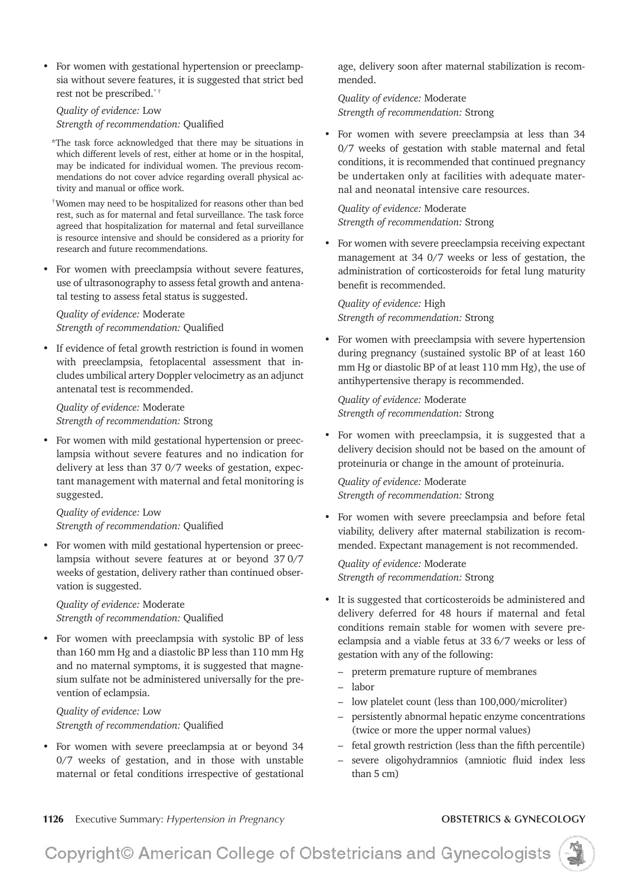• For women with gestational hypertension or preeclampsia without severe features, it is suggested that strict bed rest not be prescribed.\* †

### **Quality of evidence:** Low *Strength of recommendation: Qualified*

- \*The task force acknowledged that there may be situations in which different levels of rest, either at home or in the hospital, may be indicated for individual women. The previous recommendations do not cover advice regarding overall physical activity and manual or office work.
- $\dagger$ Women may need to be hospitalized for reasons other than bed rest, such as for maternal and fetal surveillance. The task force agreed that hospitalization for maternal and fetal surveillance is resource intensive and should be considered as a priority for research and future recommendations.
- For women with preeclampsia without severe features, use of ultrasonography to assess fetal growth and antenatal testing to assess fetal status is suggested.

## *Quality of evidence:* Moderate *Strength of recommendation: Qualified*

If evidence of fetal growth restriction is found in women with preeclampsia, fetoplacental assessment that includes umbilical artery Doppler velocimetry as an adjunct antenatal test is recommended.

*Quality of evidence:* Moderate *Strength of recommendation:* Strong

For women with mild gestational hypertension or preeclampsia without severe features and no indication for delivery at less than 37 0/7 weeks of gestation, expectant management with maternal and fetal monitoring is suggested.

*Quality of evidence:* Low *Strength of recommendation: Qualified* 

• For women with mild gestational hypertension or preeclampsia without severe features at or beyond 370/7 weeks of gestation, delivery rather than continued observation is suggested.

*Quality of evidence:* Moderate *Strength of recommendation: Qualified* 

• For women with preeclampsia with systolic BP of less than 160 mm Hg and a diastolic BP less than 110 mm Hg and no maternal symptoms, it is suggested that magnesium sulfate not be administered universally for the prevention of eclampsia.

**Quality of evidence:** Low *Strength of recommendation: Qualified* 

For women with severe preeclampsia at or beyond 34  $0/7$  weeks of gestation, and in those with unstable maternal or fetal conditions irrespective of gestational age, delivery soon after maternal stabilization is recommended.

*Quality of evidence:* Moderate *Strength of recommendation:* Strong

For women with severe preeclampsia at less than 34 0/7 weeks of gestation with stable maternal and fetal conditions, it is recommended that continued pregnancy be undertaken only at facilities with adequate maternal and neonatal intensive care resources.

*Quality of evidence:* Moderate *Strength of recommendation:* Strong

For women with severe preeclampsia receiving expectant management at 34 0/7 weeks or less of gestation, the administration of corticosteroids for fetal lung maturity benefit is recommended.

*Quality of evidence:* High *Strength of recommendation:* Strong

For women with preeclampsia with severe hypertension during pregnancy (sustained systolic BP of at least 160 mm Hg or diastolic BP of at least 110 mm Hg), the use of antihypertensive therapy is recommended.

*Quality of evidence:* Moderate *Strength of recommendation:* Strong

For women with preeclampsia, it is suggested that a delivery decision should not be based on the amount of proteinuria or change in the amount of proteinuria.

*Quality of evidence:* Moderate *Strength of recommendation:* Strong

• For women with severe preeclampsia and before fetal viability, delivery after maternal stabilization is recommended. Expectant management is not recommended.

*Quality of evidence:* Moderate *Strength of recommendation:* Strong

- It is suggested that corticosteroids be administered and delivery deferred for 48 hours if maternal and fetal conditions remain stable for women with severe preeclampsia and a viable fetus at 33 6/7 weeks or less of gestation with any of the following:
	- preterm premature rupture of membranes
	- labor
	- low platelet count (less than 100,000/microliter)
	- persistently abnormal hepatic enzyme concentrations (twice or more the upper normal values)
	- $-$  fetal growth restriction (less than the fifth percentile)
	- severe oligohydramnios (amniotic fluid index less than 5 cm)

**<sup>1126</sup>**Executive Summary: *Hypertension in Pregnancy* **OBSTETRICS & GYNECOLOGY**

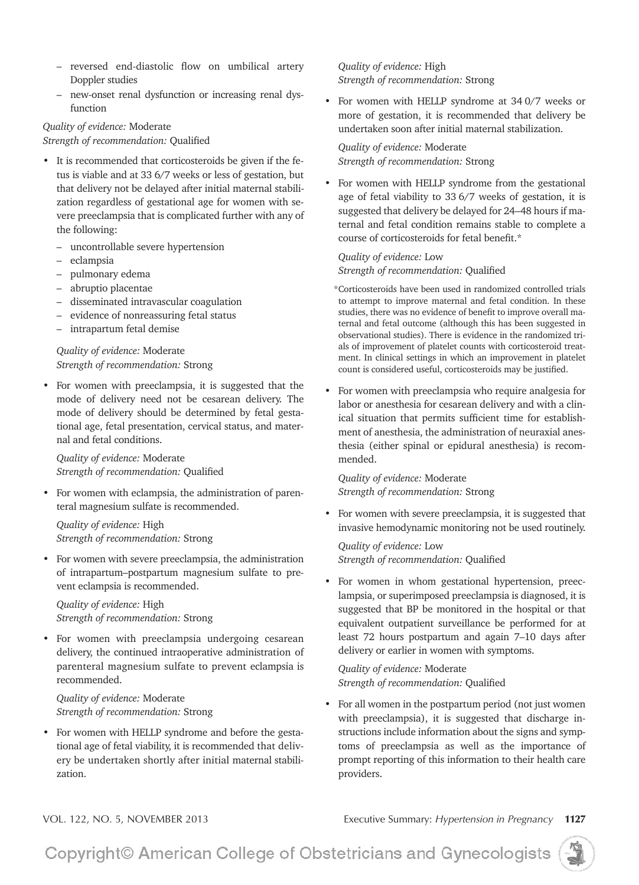- reversed end-diastolic flow on umbilical artery Doppler studies
- new-onset renal dysfunction or increasing renal dysfunction

# *Quality of evidence:* Moderate

*Strength of recommendation: Qualified* 

- It is recommended that corticosteroids be given if the fetus is viable and at 33 6/7 weeks or less of gestation, but that delivery not be delayed after initial maternal stabili zation regardless of gestational age for women with severe preeclampsia that is complicated further with any of the following:
	- uncontrollable severe hypertension
	- eclampsia
	- pulmonary edema
	- abruptio placentae
	- disseminated intravascular coagulation
	- evidence of nonreassuring fetal status
	- intrapartum fetal demise

*Quality of evidence:* Moderate *Strength of recommendation:* Strong

• For women with preeclampsia, it is suggested that the mode of delivery need not be cesarean delivery. The mode of delivery should be determined by fetal gestational age, fetal presentation, cervical status, and maternal and fetal conditions.

*Quality of evidence:* Moderate *Strength of recommendation: Qualified* 

For women with eclampsia, the administration of parenteral magnesium sulfate is recommended.

*Quality of evidence:* High *Strength of recommendation:* Strong

For women with severe preeclampsia, the administration of intrapartum–postpartum magnesium sulfate to prevent eclampsia is recommended.

*Quality of evidence:* High *Strength of recommendation:* Strong

• For women with preeclampsia undergoing cesarean delivery, the continued intraoperative administration of parenteral magnesium sulfate to prevent eclampsia is recommended.

*Quality of evidence:* Moderate *Strength of recommendation:* Strong

• For women with HELLP syndrome and before the gestational age of fetal viability, it is recommended that delivery be undertaken shortly after initial maternal stabili zation.

*Quality of evidence:* High *Strength of recommendation:* Strong

• For women with HELLP syndrome at  $340/7$  weeks or more of gestation, it is recommended that delivery be undertaken soon after initial maternal stabilization.

*Quality of evidence:* Moderate *Strength of recommendation:* Strong

For women with HELLP syndrome from the gestational age of fetal viability to 33  $6/7$  weeks of gestation, it is suggested that delivery be delayed for 24–48 hours if maternal and fetal condition remains stable to complete a course of corticosteroids for fetal benefit.\*

**Quality of evidence: Low** *Strength of recommendation: Qualified* 

\*Corticosteroids have been used in randomized controlled trials to attempt to improve maternal and fetal condition. In these studies, there was no evidence of benefit to improve overall maternal and fetal outcome (although this has been suggested in observational studies). There is evidence in the randomized trials of improvement of platelet counts with corticosteroid treatment. In clinical settings in which an improvement in platelet count is considered useful, corticosteroids may be justified.

• For women with preeclampsia who require analgesia for labor or anesthesia for cesarean delivery and with a clinical situation that permits sufficient time for establishment of anesthesia, the administration of neuraxial anesthesia (either spinal or epidural anesthesia) is recommended.

*Quality of evidence:* Moderate *Strength of recommendation:* Strong

• For women with severe preeclampsia, it is suggested that invasive hemodynamic monitoring not be used routinely.

*Quality of evidence:* Low *Strength of recommendation: Qualified* 

For women in whom gestational hypertension, preeclampsia, or superimposed preeclampsia is diagnosed, it is suggested that BP be monitored in the hospital or that equivalent outpatient surveillance be performed for at least 72 hours postpartum and again 7-10 days after delivery or earlier in women with symptoms.

*Quality of evidence:* Moderate *Strength of recommendation: Qualified* 

• For all women in the postpartum period (not just women with preeclampsia), it is suggested that discharge instructions include information about the signs and symptoms of preeclampsia as well as the importance of prompt reporting of this information to their health care providers.

VOL. 122, NO. 5, NOVEMBER 2013 Executive Summary: *Hypertension in Pregnancy* **<sup>1127</sup>**

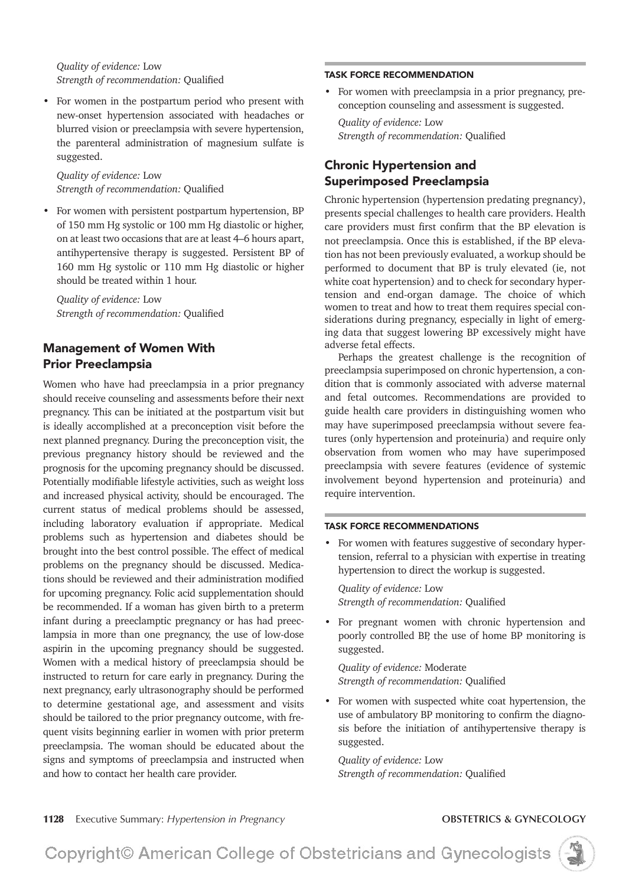**Quality of evidence: Low** *Strength of recommendation: Qualified* 

• For women in the postpartum period who present with new-onset hypertension associated with headaches or blurred vision or preeclampsia with severe hypertension, the parenteral administration of magnesium sulfate is suggested.

*Quality of evidence:* Low *Strength of recommendation: Qualified* 

For women with persistent postpartum hypertension, BP of 150 mm Hg systolic or 100 mm Hg diastolic or higher, on at least two occasions that are at least 4–6 hours apart, antihypertensive therapy is suggested. Persistent BP of 160 mm Hg systolic or 110 mm Hg diastolic or higher should be treated within 1 hour.

**Quality of evidence:** Low *Strength of recommendation: Qualified* 

# Management of Women With Prior Preeclampsia

Women who have had preeclampsia in a prior pregnancy should receive counseling and assessments before their next pregnancy. This can be initiated at the postpartum visit but is ideally accomplished at a preconception visit before the next planned pregnancy. During the preconception visit, the previous pregnancy history should be reviewed and the prognosis for the upcoming pregnancy should be discussed. Potentially modifiable lifestyle activities, such as weight loss and increased physical activity, should be encouraged. The current status of medical problems should be assessed, including laboratory evaluation if appropriate. Medical problems such as hypertension and diabetes should be brought into the best control possible. The effect of medical problems on the pregnancy should be discussed. Medications should be reviewed and their administration modified for upcoming pregnancy. Folic acid supplementation should be recommended. If a woman has given birth to a preterm infant during a preeclamptic pregnancy or has had preeclampsia in more than one pregnancy, the use of low-dose aspirin in the upcoming pregnancy should be suggested. Women with a medical history of preeclampsia should be instructed to return for care early in pregnancy. During the next pregnancy, early ultrasonography should be performed to determine gestational age, and assessment and visits should be tailored to the prior pregnancy outcome, with frequent visits beginning earlier in women with prior preterm preeclampsia. The woman should be educated about the signs and symptoms of preeclampsia and instructed when and how to contact her health care provider.

For women with preeclampsia in a prior pregnancy, preconception counseling and assessment is suggested.

**Quality of evidence: Low** *Strength of recommendation: Qualified* 

# Chronic Hypertension and Superimposed Preeclampsia

TASK FORCE RECOMMENDATION

Chronic hypertension (hypertension predating pregnancy), presents special challenges to health care providers. Health care providers must first confirm that the BP elevation is not preeclampsia. Once this is established, if the BP elevation has not been previously evaluated, a workup should be performed to document that BP is truly elevated (ie, not white coat hypertension) and to check for secondary hypertension and end-organ damage. The choice of which women to treat and how to treat them requires special considerations during pregnancy, especially in light of emerging data that suggest lowering BP excessively might have adverse fetal effects.

Perhaps the greatest challenge is the recognition of preeclampsia superimposed on chronic hypertension, a condition that is commonly associated with adverse maternal and fetal outcomes. Recommendations are provided to guide health care providers in distinguishing women who may have superimposed preeclampsia without severe features (only hypertension and proteinuria) and require only observation from women who may have superimposed preeclampsia with severe features (evidence of systemic involvement beyond hypertension and proteinuria) and require intervention.

### TASK FORCE RECOMMENDATIONS

For women with features suggestive of secondary hypertension, referral to a physician with expertise in treating hypertension to direct the workup is suggested.

**Quality of evidence:** Low *Strength of recommendation: Qualified* 

• For pregnant women with chronic hypertension and poorly controlled BP, the use of home BP monitoring is suggested.

*Quality of evidence:* Moderate *Strength of recommendation: Qualified* 

• For women with suspected white coat hypertension, the use of ambulatory BP monitoring to confirm the diagnosis before the initiation of antihypertensive therapy is suggested.

**Quality of evidence:** Low *Strength of recommendation: Qualified* 

**<sup>1128</sup>**Executive Summary: *Hypertension in Pregnancy* **OBSTETRICS & GYNECOLOGY**

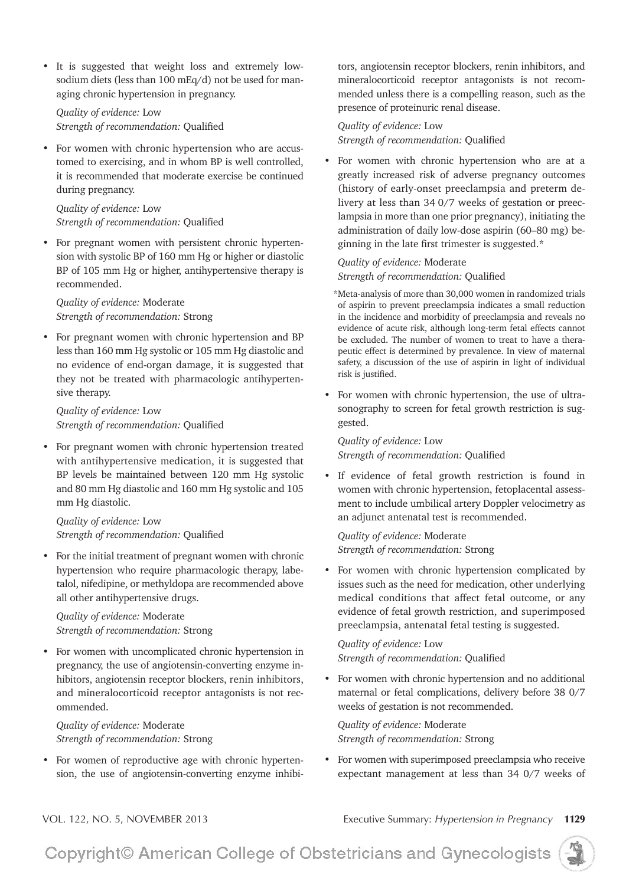• It is suggested that weight loss and extremely lowsodium diets (less than  $100 \text{ mEq/d}$ ) not be used for managing chronic hypertension in pregnancy.

**Quality of evidence:** Low *Strength of recommendation: Qualified* 

• For women with chronic hypertension who are accustomed to exercising, and in whom BP is well controlled, it is recommended that moderate exercise be continued during pregnancy.

*Quality of evidence:* Low *Strength of recommendation: Qualified* 

• For pregnant women with persistent chronic hypertension with systolic BP of 160 mm Hg or higher or diastolic BP of 105 mm Hg or higher, antihypertensive therapy is recommended.

*Quality of evidence:* Moderate *Strength of recommendation:* Strong

• For pregnant women with chronic hypertension and BP less than 160 mm Hg systolic or 105 mm Hg diastolic and no evidence of end-organ damage, it is suggested that they not be treated with pharmacologic antihypertensive therapy.

**Quality of evidence:** Low *Strength of recommendation: Qualified* 

 For pregnant women with chronic hypertension treated with antihypertensive medication, it is suggested that BP levels be maintained between 120 mm Hg systolic and 80 mm Hg diastolic and 160 mm Hg systolic and 105 mm Hg diastolic.

**Quality of evidence: Low** *Strength of recommendation: Qualified* 

• For the initial treatment of pregnant women with chronic hypertension who require pharmacologic therapy, labetalol, nifedipine, or methyldopa are recommended above all other antihypertensive drugs.

*Quality of evidence:* Moderate *Strength of recommendation:* Strong

For women with uncomplicated chronic hypertension in pregnancy, the use of angiotensin-converting enzyme inhibitors, angiotensin receptor blockers, renin inhibitors, and mineralocorticoid receptor antagonists is not recommended.

*Quality of evidence:* Moderate *Strength of recommendation:* Strong

• For women of reproductive age with chronic hypertension, the use of angiotensin-converting enzyme inhibitors, angiotensin receptor blockers, renin inhibitors, and mineralocorticoid receptor antagonists is not recommended unless there is a compelling reason, such as the presence of proteinuric renal disease.

**Quality of evidence:** Low *Strength of recommendation: Qualified* 

• For women with chronic hypertension who are at a greatly increased risk of adverse pregnancy outcomes (history of early-onset preeclampsia and preterm delivery at less than 34 0/7 weeks of gestation or preeclampsia in more than one prior pregnancy), initiating the administration of daily low-dose aspirin (60–80 mg) beginning in the late first trimester is suggested.\*

*Quality of evidence:* Moderate *Strength of recommendation: Qualified* 

\*Meta-analysis of more than 30,000 women in randomized trials of aspirin to prevent preeclampsia indicates a small reduction in the incidence and morbidity of preeclampsia and reveals no evidence of acute risk, although long-term fetal effects cannot be excluded. The number of women to treat to have a therapeutic effect is determined by prevalence. In view of maternal safety, a discussion of the use of aspirin in light of individual risk is justified.

• For women with chronic hypertension, the use of ultrasonography to screen for fetal growth restriction is suggested.

**Quality of evidence: Low** Strength of recommendation: Qualified

• If evidence of fetal growth restriction is found in women with chronic hypertension, fetoplacental assessment to include umbilical artery Doppler velocimetry as an adjunct antenatal test is recommended.

*Quality of evidence:* Moderate *Strength of recommendation:* Strong

For women with chronic hypertension complicated by issues such as the need for medication, other underlying medical conditions that affect fetal outcome, or any evidence of fetal growth restriction, and superimposed preeclampsia, antenatal fetal testing is suggested.

**Quality of evidence:** Low *Strength of recommendation: Qualified* 

• For women with chronic hypertension and no additional maternal or fetal complications, delivery before 38 0/7 weeks of gestation is not recommended.

*Quality of evidence:* Moderate *Strength of recommendation:* Strong

• For women with superimposed preeclampsia who receive expectant management at less than 34 0/7 weeks of

VOL. 122, NO. 5, NOVEMBER 2013 Executive Summary: *Hypertension in Pregnancy* **<sup>1129</sup>**

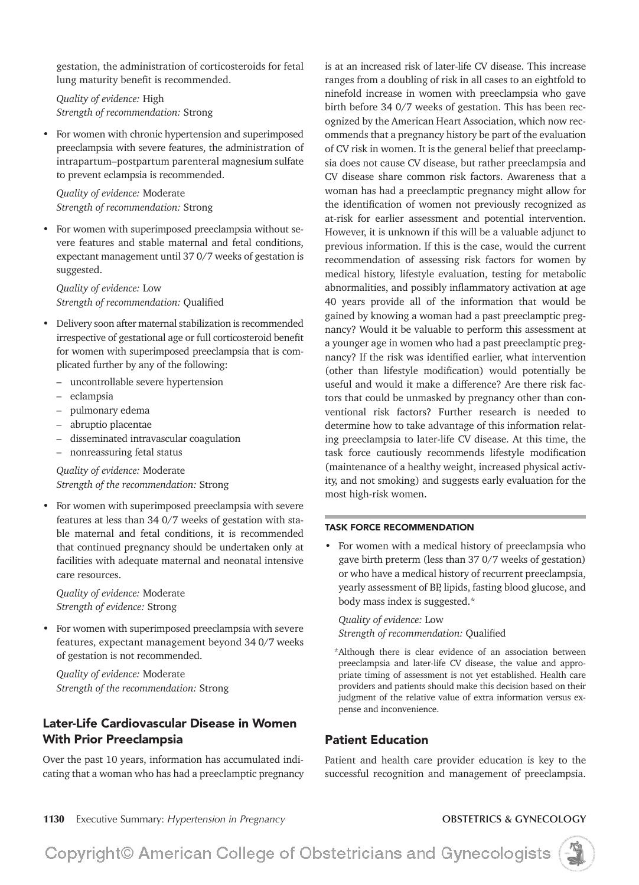gestation, the administration of corticosteroids for fetal lung maturity benefit is recommended.

*Quality of evidence:* High *Strength of recommendation:* Strong

For women with chronic hypertension and superimposed preeclampsia with severe features, the administration of intrapartum–postpartum parenteral magnesium sulfate to prevent eclampsia is recommended.

*Quality of evidence:* Moderate *Strength of recommendation:* Strong

For women with superimposed preeclampsia without severe features and stable maternal and fetal conditions, expectant management until 37 0/7 weeks of gestation is suggested.

**Quality of evidence: Low** *Strength of recommendation: Qualified* 

- Delivery soon after maternal stabilization is recommended irrespective of gestational age or full corticosteroid benefit for women with superimposed preeclampsia that is complicated further by any of the following:
	- uncontrollable severe hypertension
	- eclampsia
	- pulmonary edema
	- abruptio placentae
	- disseminated intravascular coagulation
	- nonreassuring fetal status

*Quality of evidence:* Moderate *Strength of the recommendation:* Strong

For women with superimposed preeclampsia with severe features at less than 34 0/7 weeks of gestation with stable maternal and fetal conditions, it is recommended that continued pregnancy should be undertaken only at facilities with adequate maternal and neonatal intensive care resources.

*Quality of evidence:* Moderate *Strength of evidence:* Strong

For women with superimposed preeclampsia with severe features, expectant management beyond 34 0/7 weeks of gestation is not recommended.

*Quality of evidence:* Moderate *Strength of the recommendation:* Strong

# Later-Life Cardiovascular Disease in Women With Prior Preeclampsia

Over the past 10 years, information has accumulated indicating that a woman who has had a preeclamptic pregnancy is at an increased risk of later-life CV disease. This increase ranges from a doubling of risk in all cases to an eightfold to ninefold increase in women with preeclampsia who gave birth before 34 0/7 weeks of gestation. This has been recognized by the American Heart Association, which now recommends that a pregnancy history be part of the evaluation of CV risk in women. It is the general belief that preeclampsia does not cause CV disease, but rather preeclampsia and CV disease share common risk factors. Awareness that a woman has had a preeclamptic pregnancy might allow for the identification of women not previously recognized as at-risk for earlier assessment and potential intervention. However, it is unknown if this will be a valuable adjunct to previous information. If this is the case, would the current recommendation of assessing risk factors for women by medical history, lifestyle evaluation, testing for metabolic abnormalities, and possibly inflammatory activation at age 40 years provide all of the information that would be gained by knowing a woman had a past preeclamptic pregnancy? Would it be valuable to perform this assessment at a younger age in women who had a past preeclamptic pregnancy? If the risk was identified earlier, what intervention (other than lifestyle modification) would potentially be useful and would it make a difference? Are there risk factors that could be unmasked by pregnancy other than conventional risk factors? Further research is needed to determine how to take advantage of this information relating preeclampsia to later-life CV disease. At this time, the task force cautiously recommends lifestyle modification (maintenance of a healthy weight, increased physical activity, and not smoking) and suggests early evaluation for the most high-risk women.

### TASK FORCE RECOMMENDATION

• For women with a medical history of preeclampsia who gave birth preterm (less than 37 0/7 weeks of gestation) or who have a medical history of recurrent preeclampsia, yearly assessment of BP, lipids, fasting blood glucose, and body mass index is suggested.\*

**Quality of evidence:** Low *Strength of recommendation: Qualified* 

\*Although there is clear evidence of an association between preeclampsia and later-life CV disease, the value and appropriate timing of assessment is not yet established. Health care providers and patients should make this decision based on their judgment of the relative value of extra information versus expense and inconvenience.

# Patient Education

Patient and health care provider education is key to the successful recognition and management of preeclampsia.

**<sup>1130</sup>**Executive Summary: *Hypertension in Pregnancy* **OBSTETRICS & GYNECOLOGY**